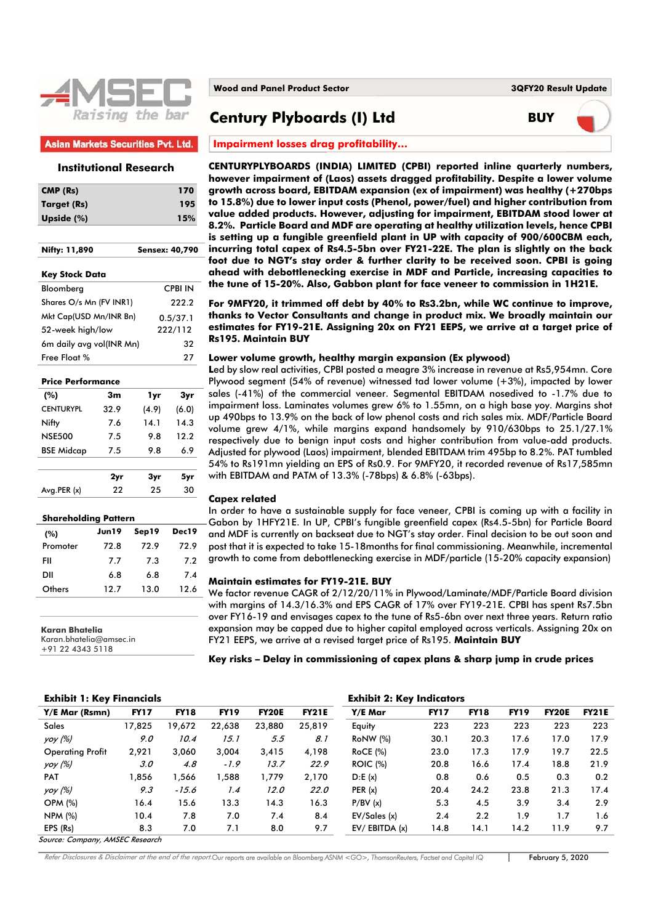

### **Asian Markets Securities Pvt. Ltd.**

# **Institutional Research**

| CMP (Rs)      | 170 |
|---------------|-----|
| Target (Rs)   | 195 |
| Upside $(\%)$ | 15% |

| Nifty: 11,890            | <b>Sensex: 40,790</b> |  |  |  |  |
|--------------------------|-----------------------|--|--|--|--|
| <b>Key Stock Data</b>    |                       |  |  |  |  |
| Bloomberg                | <b>CPBI IN</b>        |  |  |  |  |
| Shares O/s Mn (FV INR1)  | 222.2                 |  |  |  |  |
| Mkt Cap(USD Mn/INR Bn)   | 0.5/37.1              |  |  |  |  |
| 52-week high/low         | 222/112               |  |  |  |  |
| 6m daily avg vol(INR Mn) | 32                    |  |  |  |  |
| Free Float %             | 27                    |  |  |  |  |

#### **Price Performance**

| (%)               | 3m         | 1yr   | 3yr   |
|-------------------|------------|-------|-------|
| <b>CENTURYPI</b>  | 32.9       | (4.9) | (6.0) |
| Nifty             | 7.6        | 14.1  | 14.3  |
| <b>NSE500</b>     | 9.8<br>7.5 |       | 12.2  |
| <b>BSE Midcap</b> | 7.5        | 9.8   | 6.9   |
|                   |            |       |       |
|                   | 2yr        | 3yr   | 5yr   |
| Avg.PER(x)        | 22         | 25    | 30    |

| <b>Shareholding Pattern</b> |       |       |       |  |  |  |  |  |  |
|-----------------------------|-------|-------|-------|--|--|--|--|--|--|
| (%)                         | Jun19 | Sep19 | Dec19 |  |  |  |  |  |  |
| Promoter                    | 72.8  | 72.9  | 72.9  |  |  |  |  |  |  |
| FII                         | 7.7   | 7.3   | 7.2   |  |  |  |  |  |  |
| DII                         | 6.8   | 6.8   | 7.4   |  |  |  |  |  |  |
| Others                      | 12.7  | 13.0  | 12.6  |  |  |  |  |  |  |

**Karan Bhatelia** 

Karan.bhatelia@amsec.in +91 22 4343 5118

# **Century Plyboards (I) Ltd BUY**



**Impairment losses drag profitability…** 

**CENTURYPLYBOARDS (INDIA) LIMITED (CPBI) reported inline quarterly numbers, however impairment of (Laos) assets dragged profitability. Despite a lower volume growth across board, EBITDAM expansion (ex of impairment) was healthy (+270bps to 15.8%) due to lower input costs (Phenol, power/fuel) and higher contribution from value added products. However, adjusting for impairment, EBITDAM stood lower at 8.2%. Particle Board and MDF are operating at healthy utilization levels, hence CPBI is setting up a fungible greenfield plant in UP with capacity of 900/600CBM each, incurring total capex of Rs4.5-5bn over FY21-22E. The plan is slightly on the back foot due to NGT's stay order & further clarity to be received soon. CPBI is going ahead with debottlenecking exercise in MDF and Particle, increasing capacities to the tune of 15-20%. Also, Gabbon plant for face veneer to commission in 1H21E.** 

**For 9MFY20, it trimmed off debt by 40% to Rs3.2bn, while WC continue to improve, thanks to Vector Consultants and change in product mix. We broadly maintain our estimates for FY19-21E. Assigning 20x on FY21 EEPS, we arrive at a target price of Rs195. Maintain BUY** 

#### **Lower volume growth, healthy margin expansion (Ex plywood)**

**L**ed by slow real activities, CPBI posted a meagre 3% increase in revenue at Rs5,954mn. Core Plywood segment (54% of revenue) witnessed tad lower volume (+3%), impacted by lower sales (-41%) of the commercial veneer. Segmental EBITDAM nosedived to -1.7% due to impairment loss. Laminates volumes grew 6% to 1.55mn, on a high base yoy. Margins shot up 490bps to 13.9% on the back of low phenol costs and rich sales mix. MDF/Particle Board volume grew 4/1%, while margins expand handsomely by 910/630bps to 25.1/27.1% respectively due to benign input costs and higher contribution from value-add products. Adjusted for plywood (Laos) impairment, blended EBITDAM trim 495bp to 8.2%. PAT tumbled 54% to Rs191mn yielding an EPS of Rs0.9. For 9MFY20, it recorded revenue of Rs17,585mn with EBITDAM and PATM of 13.3% (-78bps) & 6.8% (-63bps).

#### **Capex related**

In order to have a sustainable supply for face veneer, CPBI is coming up with a facility in Gabon by 1HFY21E. In UP, CPBI's fungible greenfield capex (Rs4.5-5bn) for Particle Board and MDF is currently on backseat due to NGT's stay order. Final decision to be out soon and post that it is expected to take 15-18months for final commissioning. Meanwhile, incremental growth to come from debottlenecking exercise in MDF/particle (15-20% capacity expansion)

#### **Maintain estimates for FY19-21E. BUY**

We factor revenue CAGR of 2/12/20/11% in Plywood/Laminate/MDF/Particle Board division with margins of 14.3/16.3% and EPS CAGR of 17% over FY19-21E. CPBI has spent Rs7.5bn over FY16-19 and envisages capex to the tune of Rs5-6bn over next three years. Return ratio expansion may be capped due to higher capital employed across verticals. Assigning 20x on FY21 EEPS, we arrive at a revised target price of Rs195. **Maintain BUY**

**Key risks – Delay in commissioning of capex plans & sharp jump in crude prices**

#### **Exhibit 1: Key Financials Exhibit 2: Key Indicators**

|                                 | EAIHWH II ILLY I HILLIUIUID |             |             |              |              |                 |             | EAIHNH 20 ILC) HIGHCHIOID |             |              |              |  |
|---------------------------------|-----------------------------|-------------|-------------|--------------|--------------|-----------------|-------------|---------------------------|-------------|--------------|--------------|--|
| Y/E Mar (Rsmn)                  | <b>FY17</b>                 | <b>FY18</b> | <b>FY19</b> | <b>FY20E</b> | <b>FY21E</b> | Y/E Mar         | <b>FY17</b> | <b>FY18</b>               | <b>FY19</b> | <b>FY20E</b> | <b>FY21E</b> |  |
| <b>Sales</b>                    | 17,825                      | 19,672      | 22,638      | 23,880       | 25,819       | Equity          | 223         | 223                       | 223         | 223          | 223          |  |
| yoy (%)                         | 9.0                         | 10.4        | 15.1        | 5.5          | 8.1          | <b>RoNW</b> (%) | 30.1        | 20.3                      | 17.6        | 17.0         | 17.9         |  |
| <b>Operating Profit</b>         | 2,921                       | 3,060       | 3.004       | 3,415        | 4,198        | <b>RoCE</b> (%) | 23.0        | 17.3                      | 17.9        | 19.7         | 22.5         |  |
| yoy (%)                         | 3.0                         | 4.8         | $-1.9$      | 13.7         | 22.9         | <b>ROIC</b> (%) | 20.8        | 16.6                      | 17.4        | 18.8         | 21.9         |  |
| <b>PAT</b>                      | 856. ا                      | .566        | 1.588       | 1.779        | 2,170        | D: E(x)         | 0.8         | 0.6                       | 0.5         | 0.3          | 0.2          |  |
| yoy (%)                         | 9.3                         | $-15.6$     | 1.4         | 12.0         | 22.0         | PER(x)          | 20.4        | 24.2                      | 23.8        | 21.3         | 17.4         |  |
| <b>OPM (%)</b>                  | 16.4                        | 15.6        | 13.3        | 14.3         | 16.3         | P/BV(x)         | 5.3         | 4.5                       | 3.9         | 3.4          | 2.9          |  |
| <b>NPM (%)</b>                  | 10.4                        | 7.8         | 7.0         | 7.4          | 8.4          | EV/Sales(x)     | 2.4         | 2.2                       | 1.9         | 1.7          | 1.6          |  |
| EPS (Rs)                        | 8.3                         | 7.0         | 7.1         | 8.0          | 9.7          | EV/EBITDA (x)   | 14.8        | 14.1                      | 14.2        | 11.9         | 9.7          |  |
| Source: Company. AMSEC Research |                             |             |             |              |              |                 |             |                           |             |              |              |  |

Refer Disclosures & Disclaimer at the end of the report.Our reports are available on Bloomberg ASNM <GO>, ThomsonReuters, Factset and Capital IQ **February 5, 2020**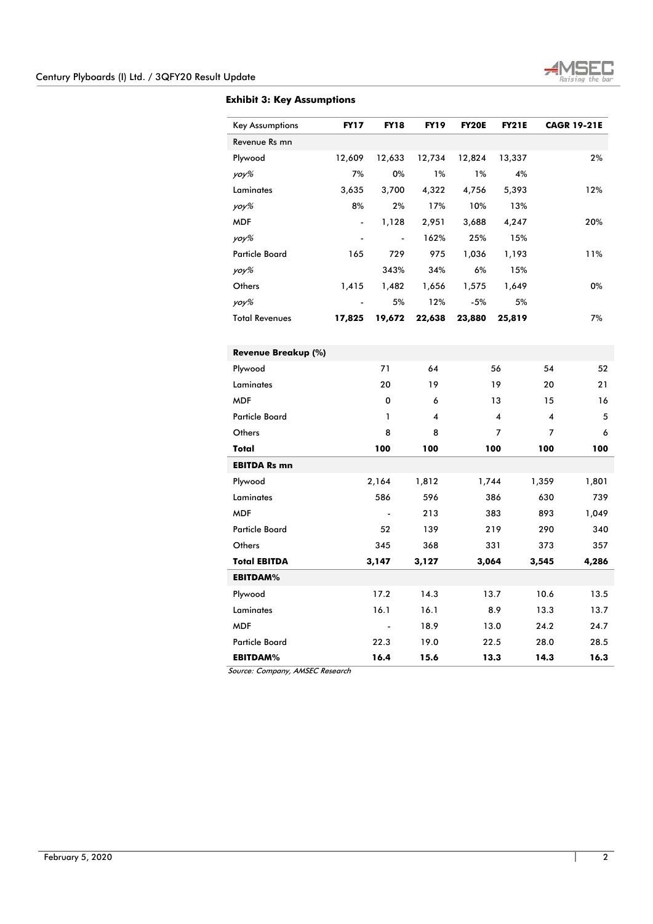

# **Exhibit 3: Key Assumptions**

| <b>Key Assumptions</b> | <b>FY17</b> | <b>FY18</b>    | <b>FY19</b> | <b>FY20E</b> | <b>FY21E</b> |       | <b>CAGR 19-21E</b> |
|------------------------|-------------|----------------|-------------|--------------|--------------|-------|--------------------|
| Revenue Rs mn          |             |                |             |              |              |       |                    |
| Plywood                | 12,609      | 12,633         | 12,734      | 12,824       | 13,337       |       | 2%                 |
| yoy%                   | 7%          | 0%             | 1%          | 1%           | 4%           |       |                    |
| Laminates              | 3,635       | 3,700          | 4,322       | 4,756        | 5,393        |       | 12%                |
| yoy%                   | 8%          | 2%             | 17%         | 10%          | 13%          |       |                    |
| <b>MDF</b>             |             | 1,128          | 2,951       | 3,688        | 4,247        |       | 20%                |
| yoy%                   |             | $\blacksquare$ | 162%        | 25%          | 15%          |       |                    |
| <b>Particle Board</b>  | 165         | 729            | 975         | 1,036        | 1,193        |       | 11%                |
| yoy%                   |             | 343%           | 34%         | 6%           | 15%          |       |                    |
| Others                 | 1,415       | 1,482          | 1,656       | 1,575        | 1,649        |       | 0%                 |
| yoy%                   |             | 5%             | 12%         | $-5%$        | 5%           |       |                    |
| <b>Total Revenues</b>  | 17,825      | 19,672         | 22,638      | 23,880       | 25,819       |       | 7%                 |
|                        |             |                |             |              |              |       |                    |
| Revenue Breakup (%)    |             |                |             |              |              |       |                    |
| Plywood                |             | 71             | 64          |              | 56           | 54    | 52                 |
| Laminates              |             | 20             | 19          |              | 19           | 20    | 21                 |
| <b>MDF</b>             |             | 0              | 6           |              | 13           | 15    | 16                 |
| Particle Board         |             | 1              | 4           |              | 4            | 4     | 5                  |
| Others                 |             | 8              | 8           |              | 7            | 7     | 6                  |
| Total                  |             | 100            | 100         |              | 100          | 100   | 100                |
| <b>EBITDA Rs mn</b>    |             |                |             |              |              |       |                    |
| Plywood                |             | 2,164          | 1,812       | 1,744        |              | 1,359 | 1,801              |
| Laminates              |             | 586            | 596         |              | 386          | 630   | 739                |
| <b>MDF</b>             |             |                | 213         |              | 383          | 893   | 1,049              |
| Particle Board         |             | 52             | 139         |              | 219          | 290   | 340                |
| Others                 |             | 345            | 368         |              | 331          | 373   | 357                |
| <b>Total EBITDA</b>    |             | 3,147          | 3,127       | 3,064        |              | 3,545 | 4,286              |
| <b>EBITDAM%</b>        |             |                |             |              |              |       |                    |
| Plywood                |             | 17.2           | 14.3        |              | 13.7         | 10.6  | 13.5               |
| Laminates              |             | 16.1           | 16.1        |              | 8.9          | 13.3  | 13.7               |
| <b>MDF</b>             |             | L,             | 18.9        |              | 13.0         | 24.2  | 24.7               |
| <b>Particle Board</b>  |             | 22.3           | 19.0        |              | 22.5         | 28.0  | 28.5               |
| <b>EBITDAM%</b>        |             | 16.4           | 15.6        |              | 13.3         | 14.3  | 16.3               |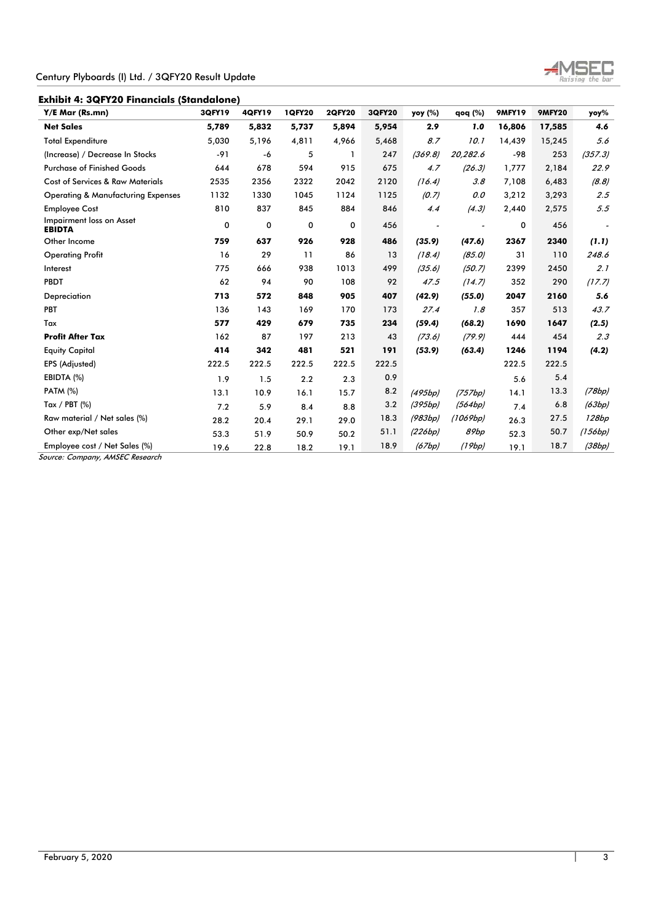**Exhibit 4: 3QFY20 Financials (Standalone)** 

| Y/E Mar (Rs.mn)                               | 3QFY19 | <b>4QFY19</b> | <b>1QFY20</b> | <b>2QFY20</b> | <b>3QFY20</b> | yoy (%) | qoq (%)  | <b>9MFY19</b> | <b>9MFY20</b> | yoy%           |
|-----------------------------------------------|--------|---------------|---------------|---------------|---------------|---------|----------|---------------|---------------|----------------|
| <b>Net Sales</b>                              | 5,789  | 5,832         | 5,737         | 5,894         | 5,954         | 2.9     | 1.0      | 16,806        | 17,585        | 4.6            |
| <b>Total Expenditure</b>                      | 5,030  | 5,196         | 4,811         | 4,966         | 5,468         | 8.7     | 10.1     | 14,439        | 15,245        | 5.6            |
| (Increase) / Decrease In Stocks               | $-91$  | -6            | 5             | $\mathbf{1}$  | 247           | (369.8) | 20,282.6 | -98           | 253           | (357.3)        |
| <b>Purchase of Finished Goods</b>             | 644    | 678           | 594           | 915           | 675           | 4.7     | (26.3)   | 1,777         | 2,184         | 22.9           |
| <b>Cost of Services &amp; Raw Materials</b>   | 2535   | 2356          | 2322          | 2042          | 2120          | (16.4)  | 3.8      | 7,108         | 6,483         | (8.8)          |
| <b>Operating &amp; Manufacturing Expenses</b> | 1132   | 1330          | 1045          | 1124          | 1125          | (0.7)   | 0.0      | 3,212         | 3,293         | 2.5            |
| <b>Employee Cost</b>                          | 810    | 837           | 845           | 884           | 846           | 4.4     | (4.3)    | 2,440         | 2,575         | 5.5            |
| Impairment loss on Asset<br><b>EBIDTA</b>     | 0      | 0             | $\mathbf 0$   | 0             | 456           |         |          | 0             | 456           | $\overline{a}$ |
| Other Income                                  | 759    | 637           | 926           | 928           | 486           | (35.9)  | (47.6)   | 2367          | 2340          | (1.1)          |
| <b>Operating Profit</b>                       | 16     | 29            | 11            | 86            | 13            | (18.4)  | (85.0)   | 31            | 110           | 248.6          |
| Interest                                      | 775    | 666           | 938           | 1013          | 499           | (35.6)  | (50.7)   | 2399          | 2450          | 2.1            |
| <b>PBDT</b>                                   | 62     | 94            | 90            | 108           | 92            | 47.5    | (14.7)   | 352           | 290           | (17.7)         |
| Depreciation                                  | 713    | 572           | 848           | 905           | 407           | (42.9)  | (55.0)   | 2047          | 2160          | 5.6            |
| PBT                                           | 136    | 143           | 169           | 170           | 173           | 27.4    | 7.8      | 357           | 513           | 43.7           |
| Tax                                           | 577    | 429           | 679           | 735           | 234           | (59.4)  | (68.2)   | 1690          | 1647          | (2.5)          |
| <b>Profit After Tax</b>                       | 162    | 87            | 197           | 213           | 43            | (73.6)  | (79.9)   | 444           | 454           | 2.3            |
| <b>Equity Capital</b>                         | 414    | 342           | 481           | 521           | 191           | (53.9)  | (63.4)   | 1246          | 1194          | (4.2)          |
| EPS (Adjusted)                                | 222.5  | 222.5         | 222.5         | 222.5         | 222.5         |         |          | 222.5         | 222.5         |                |
| EBIDTA (%)                                    | 1.9    | 1.5           | 2.2           | 2.3           | 0.9           |         |          | 5.6           | 5.4           |                |
| <b>PATM (%)</b>                               | 13.1   | 10.9          | 16.1          | 15.7          | 8.2           | (495bp) | (757bp)  | 14.1          | 13.3          | (78bp)         |
| Tax / PBT $(%)$                               | 7.2    | 5.9           | 8.4           | 8.8           | 3.2           | (395bp) | (564bp)  | 7.4           | 6.8           | (63bp)         |
| Raw material / Net sales (%)                  | 28.2   | 20.4          | 29.1          | 29.0          | 18.3          | (983bp) | (1069bp) | 26.3          | 27.5          | 128bp          |
| Other exp/Net sales                           | 53.3   | 51.9          | 50.9          | 50.2          | 51.1          | (226bp) | 89bp     | 52.3          | 50.7          | (156bp)        |
| Employee cost / Net Sales (%)                 | 19.6   | 22.8          | 18.2          | 19.1          | 18.9          | (67bp)  | (19bp)   | 19.1          | 18.7          | (38bp)         |
| Source: Company, AMSEC Research               |        |               |               |               |               |         |          |               |               |                |

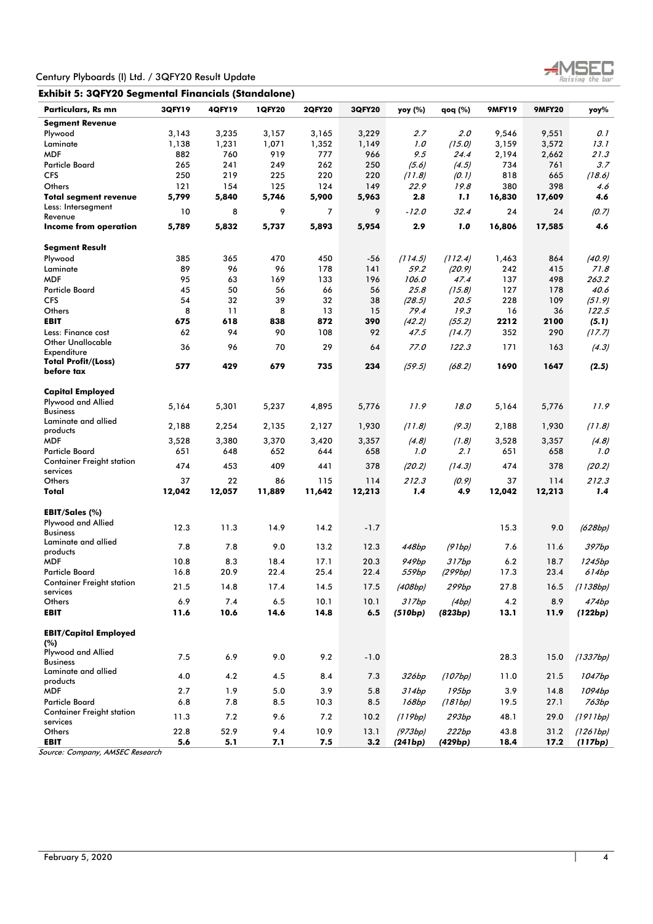

| Exhibit 5: 3QFY20 Segmental Financials (Standalone) |                |                |                |                |                |              |                   |                |                |              |
|-----------------------------------------------------|----------------|----------------|----------------|----------------|----------------|--------------|-------------------|----------------|----------------|--------------|
| Particulars, Rs mn                                  | <b>3QFY19</b>  | <b>4QFY19</b>  | <b>1QFY20</b>  | <b>2QFY20</b>  | <b>3QFY20</b>  | yoy (%)      | qoq (%)           | <b>9MFY19</b>  | <b>9MFY20</b>  | yoy%         |
| <b>Segment Revenue</b>                              |                |                |                |                |                |              |                   |                |                |              |
| Plywood<br>Laminate                                 | 3,143<br>1,138 | 3,235<br>1,231 | 3,157<br>1,071 | 3,165<br>1,352 | 3,229<br>1,149 | 2.7<br>1.0   | 2.0<br>(15.0)     | 9,546<br>3,159 | 9,551<br>3,572 | 0. 1<br>13.1 |
| <b>MDF</b>                                          | 882            | 760            | 919            | 777            | 966            | 9.5          | 24.4              | 2,194          | 2,662          | 21.3         |
| <b>Particle Board</b>                               | 265            | 241            | 249            | 262            | 250            | (5.6)        | (4.5)             | 734            | 761            | 3.7          |
| <b>CFS</b>                                          | 250            | 219            | 225            | 220            | 220            | (11.8)       | (0.1)             | 818            | 665            | (18.6)       |
| Others                                              | 121            | 154            | 125            | 124            | 149            | 22.9         | 19.8              | 380            | 398            | 4.6          |
| <b>Total segment revenue</b>                        | 5,799          | 5,840          | 5,746          | 5,900          | 5,963          | 2.8          | 1.1               | 16,830         | 17,609         | 4.6          |
| Less: Intersegment<br>Revenue                       | 10             | 8              | 9              | 7              | 9              | $-12.0$      | 32.4              | 24             | 24             | (0.7)        |
| Income from operation                               | 5,789          | 5,832          | 5,737          | 5,893          | 5,954          | 2.9          | 1.0               | 16,806         | 17,585         | 4.6          |
| <b>Segment Result</b>                               |                |                |                |                |                |              |                   |                |                |              |
| Plywood                                             | 385            | 365            | 470            | 450            | -56            | (114.5)      | (112.4)           | 1,463          | 864            | (40.9)       |
| Laminate                                            | 89             | 96             | 96             | 178            | 141            | 59.2         | (20.9)            | 242            | 415            | 71.8         |
| <b>MDF</b>                                          | 95             | 63             | 169            | 133            | 196            | 106.0        | 47.4              | 137            | 498            | 263.2        |
| <b>Particle Board</b>                               | 45             | 50             | 56             | 66             | 56             | 25.8         | (15.8)            | 127            | 178            | 40.6         |
| <b>CFS</b>                                          | 54             | 32             | 39             | 32             | 38             | (28.5)       | 20.5              | 228            | 109            | (51.9)       |
| Others                                              | 8              | 11             | 8              | 13             | 15             | 79.4         | 19.3              | 16             | 36             | 122.5        |
| <b>EBIT</b>                                         | 675            | 618            | 838            | 872            | 390            | (42.2)       | (55.2)            | 2212           | 2100           | (5.1)        |
| Less: Finance cost<br><b>Other Unallocable</b>      | 62             | 94             | 90             | 108            | 92             | 47.5         | (14.7)            | 352            | 290            | (17.7)       |
| Expenditure                                         | 36             | 96             | 70             | 29             | 64             | 77.0         | 122.3             | 171            | 163            | (4.3)        |
| <b>Total Profit/(Loss)</b><br>before tax            | 577            | 429            | 679            | 735            | 234            | (59.5)       | (68.2)            | 1690           | 1647           | (2.5)        |
| Capital Employed                                    |                |                |                |                |                |              |                   |                |                |              |
| Plywood and Allied                                  | 5,164          | 5,301          | 5,237          | 4,895          | 5,776          | 11.9         | 18.0              | 5,164          | 5,776          | 11.9         |
| <b>Business</b><br>Laminate and allied              |                |                |                |                |                |              |                   |                |                |              |
| products                                            | 2,188          | 2,254          | 2,135          | 2,127          | 1,930          | (11.8)       | (9.3)             | 2,188          | 1,930          | (11.8)       |
| <b>MDF</b><br><b>Particle Board</b>                 | 3,528<br>651   | 3,380<br>648   | 3,370<br>652   | 3,420<br>644   | 3,357<br>658   | (4.8)<br>1.0 | (1.8)<br>2.1      | 3,528<br>651   | 3,357<br>658   | (4.8)<br>1.0 |
| <b>Container Freight station</b>                    |                |                |                |                |                |              |                   |                |                |              |
| services                                            | 474            | 453            | 409            | 441            | 378            | (20.2)       | (14.3)            | 474            | 378            | (20.2)       |
| Others                                              | 37             | 22             | 86             | 115            | 114            | 212.3        | (0.9)             | 37             | 114            | 212.3        |
| Total                                               | 12,042         | 12,057         | 11,889         | 11,642         | 12,213         | 1.4          | 4.9               | 12,042         | 12,213         | 1.4          |
| EBIT/Sales (%)                                      |                |                |                |                |                |              |                   |                |                |              |
| Plywood and Allied<br><b>Business</b>               | 12.3           | 11.3           | 14.9           | 14.2           | $-1.7$         |              |                   | 15.3           | 9.0            | (628bp)      |
| Laminate and allied<br>products                     | 7.8            | 7.8            | 9.0            | 13.2           | 12.3           | 448bp        | (91bp)            | 7.6            | 11.6           | 397bp        |
| <b>MDF</b>                                          | 10.8           | 8.3            | 18.4           | 17.1           | 20.3           | 949bp        | 317bp             | 6.2            | 18.7           | 1245bp       |
| <b>Particle Board</b>                               | 16.8           | 20.9           | 22.4           | 25.4           | 22.4           | <i>559bp</i> | (299bp)           | 17.3           | 23.4           | 614bp        |
| <b>Container Freight station</b><br>services        | 21.5           | 14.8           | 17.4           | 14.5           | 17.5           | (408bp)      | 299bp             | 27.8           | 16.5           | (1138bp)     |
| Others                                              | 6.9            | 7.4            | $6.5$          | 10.1           | 10.1           | 317bp        | (4bp)             | 4.2            | 8.9            | 474bp        |
| <b>EBIT</b>                                         | 11.6           | 10.6           | 14.6           | 14.8           | 6.5            | (510bp)      | (823bp)           | 13.1           | 11.9           | (122bp)      |
| <b>EBIT/Capital Employed</b>                        |                |                |                |                |                |              |                   |                |                |              |
| (%)                                                 |                |                |                |                |                |              |                   |                |                |              |
| Plywood and Allied<br><b>Business</b>               | 7.5            | 6.9            | 9.0            | 9.2            | $-1.0$         |              |                   | 28.3           | 15.0           | (1337bp)     |
| Laminate and allied<br>products                     | 4.0            | 4.2            | 4.5            | 8.4            | 7.3            | 326bp        | (107bp)           | 11.0           | 21.5           | 1047bp       |
| <b>MDF</b>                                          | 2.7            | 1.9            | 5.0            | 3.9            | 5.8            | 314bp        | 195bp             | 3.9            | 14.8           | 1094bp       |
| <b>Particle Board</b>                               | 6.8            | 7.8            | 8.5            | 10.3           | 8.5            | 168bp        | (181bp)           | 19.5           | 27.1           | 763bp        |
| <b>Container Freight station</b><br>services        | 11.3           | 7.2            | 9.6            | 7.2            | 10.2           | (119bp)      | 293 <sub>bp</sub> | 48.1           | 29.0           | (1911bp)     |
| Others                                              | 22.8           | 52.9           | 9.4            | 10.9           | 13.1           | (973bp)      | 222bp             | 43.8           | 31.2           | (1261bp)     |
| <b>EBIT</b>                                         | 5.6            | 5.1            | 7.1            | 7.5            | 3.2            | (241bp)      | (429bp)           | 18.4           | 17.2           | (117bp)      |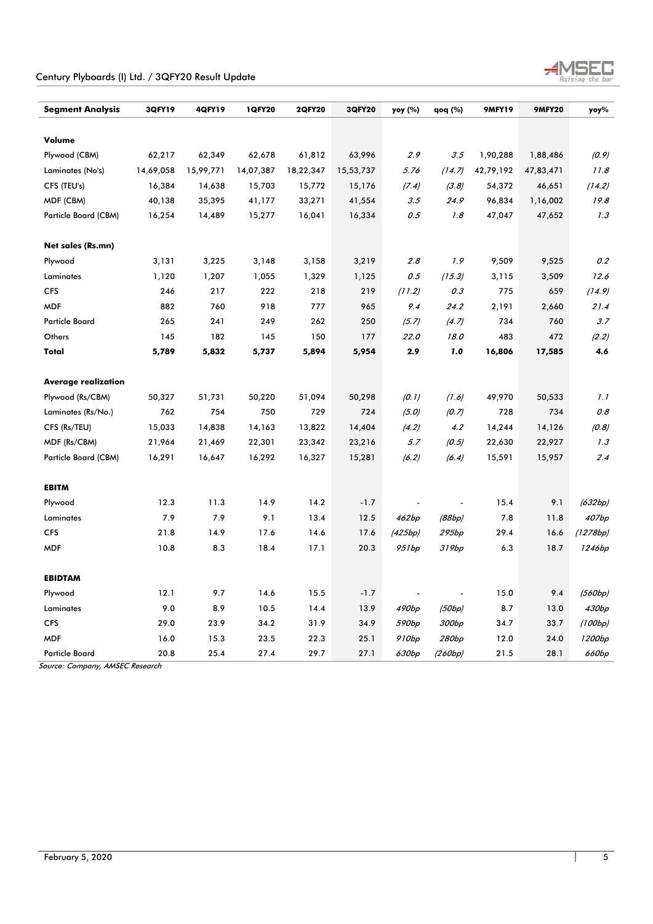| Century Plyboards (I) Ltd. / 3QFY20 Result Update |  |  |  |  |
|---------------------------------------------------|--|--|--|--|
|---------------------------------------------------|--|--|--|--|



| <b>Segment Analysis</b>    | 3QFY19    | 4QFY19    | <b>1QFY20</b> | <b>2QFY20</b> | 3QFY20    | yoy (%) | qoq (%) | <b>9MFY19</b> | <b>9MFY20</b> | yoy%     |
|----------------------------|-----------|-----------|---------------|---------------|-----------|---------|---------|---------------|---------------|----------|
|                            |           |           |               |               |           |         |         |               |               |          |
| Volume                     |           |           |               |               |           |         |         |               |               |          |
| Plywood (CBM)              | 62,217    | 62,349    | 62,678        | 61,812        | 63,996    | 2.9     | 3.5     | 1,90,288      | 1,88,486      | (0.9)    |
| Laminates (No's)           | 14,69,058 | 15,99,771 | 14,07,387     | 18,22,347     | 15,53,737 | 5.76    | (14.7)  | 42,79,192     | 47,83,471     | 11.8     |
| CFS (TEU's)                | 16,384    | 14,638    | 15,703        | 15,772        | 15,176    | (7.4)   | (3.8)   | 54,372        | 46,651        | (14.2)   |
| MDF (CBM)                  | 40,138    | 35,395    | 41,177        | 33,271        | 41,554    | $3.5\,$ | 24.9    | 96,834        | 1,16,002      | 19.8     |
| Particle Board (CBM)       | 16,254    | 14,489    | 15,277        | 16,041        | 16,334    | 0.5     | 1.8     | 47,047        | 47,652        | 1.3      |
| Net sales (Rs.mn)          |           |           |               |               |           |         |         |               |               |          |
| Plywood                    | 3,131     | 3,225     | 3,148         | 3,158         | 3,219     | 2.8     | 1.9     | 9,509         | 9,525         | 0.2      |
| Laminates                  | 1,120     | 1,207     | 1,055         | 1,329         | 1,125     | 0.5     | (15.3)  | 3,115         | 3,509         | 12.6     |
| <b>CFS</b>                 | 246       | 217       | 222           | 218           | 219       | (11.2)  | 0.3     | 775           | 659           | (14.9)   |
| <b>MDF</b>                 | 882       | 760       | 918           | 777           | 965       | 9.4     | 24.2    | 2,191         | 2,660         | 21.4     |
| <b>Particle Board</b>      | 265       | 241       | 249           | 262           | 250       | (5.7)   | (4.7)   | 734           | 760           | 3.7      |
| Others                     | 145       | 182       | 145           | 150           | 177       | 22.0    | 18.0    | 483           | 472           | (2.2)    |
| Total                      | 5,789     | 5,832     | 5,737         | 5,894         | 5,954     | 2.9     | 1.0     | 16,806        | 17,585        | 4.6      |
| <b>Average realization</b> |           |           |               |               |           |         |         |               |               |          |
| Plywood (Rs/CBM)           | 50,327    | 51,731    | 50,220        | 51,094        | 50,298    | (0.1)   | (1.6)   | 49,970        | 50,533        | 1.1      |
| Laminates (Rs/No.)         | 762       | 754       | 750           | 729           | 724       | (5.0)   | (0.7)   | 728           | 734           | 0.8      |
| CFS (Rs/TEU)               | 15,033    | 14,838    | 14,163        | 13,822        | 14,404    | (4.2)   | 4.2     | 14,244        | 14,126        | (0.8)    |
| MDF (Rs/CBM)               | 21,964    | 21,469    | 22,301        | 23,342        | 23,216    | 5.7     | (0.5)   | 22,630        | 22,927        | 1.3      |
| Particle Board (CBM)       | 16,291    | 16,647    | 16,292        | 16,327        | 15,281    | (6.2)   | (6.4)   | 15,591        | 15,957        | 2.4      |
| <b>EBITM</b>               |           |           |               |               |           |         |         |               |               |          |
| Plywood                    | 12.3      | 11.3      | 14.9          | 14.2          | $-1.7$    |         |         | 15.4          | 9.1           | (632bp)  |
| Laminates                  | 7.9       | $7.9$     | 9.1           | 13.4          | 12.5      | 462bp   | (88bp)  | 7.8           | 11.8          | 407bp    |
| <b>CFS</b>                 | 21.8      | 14.9      | 17.6          | 14.6          | 17.6      | (425bp) | 295bp   | 29.4          | 16.6          | (1278bp) |
| <b>MDF</b>                 | 10.8      | 8.3       | 18.4          | 17.1          | 20.3      | 951bp   | 319bp   | 6.3           | 18.7          | 1246bp   |
| <b>EBIDTAM</b>             |           |           |               |               |           |         |         |               |               |          |
| Plywood                    | 12.1      | 9.7       | 14.6          | 15.5          | $-1.7$    |         |         | 15.0          | 9.4           | (560bp)  |
| Laminates                  | 9.0       | 8.9       | 10.5          | 14.4          | 13.9      | 490bp   | (50bp)  | 8.7           | 13.0          | 430bp    |
| <b>CFS</b>                 | 29.0      | 23.9      | 34.2          | 31.9          | 34.9      | 590bp   | 300bp   | 34.7          | 33.7          | (100bp)  |
| <b>MDF</b>                 | 16.0      | 15.3      | 23.5          | 22.3          | 25.1      | 910bp   | 280bp   | 12.0          | 24.0          | 1200bp   |
| <b>Particle Board</b>      | 20.8      | 25.4      | 27.4          | 29.7          | 27.1      | 630bp   | (260bp) | 21.5          | 28.1          | 660bp    |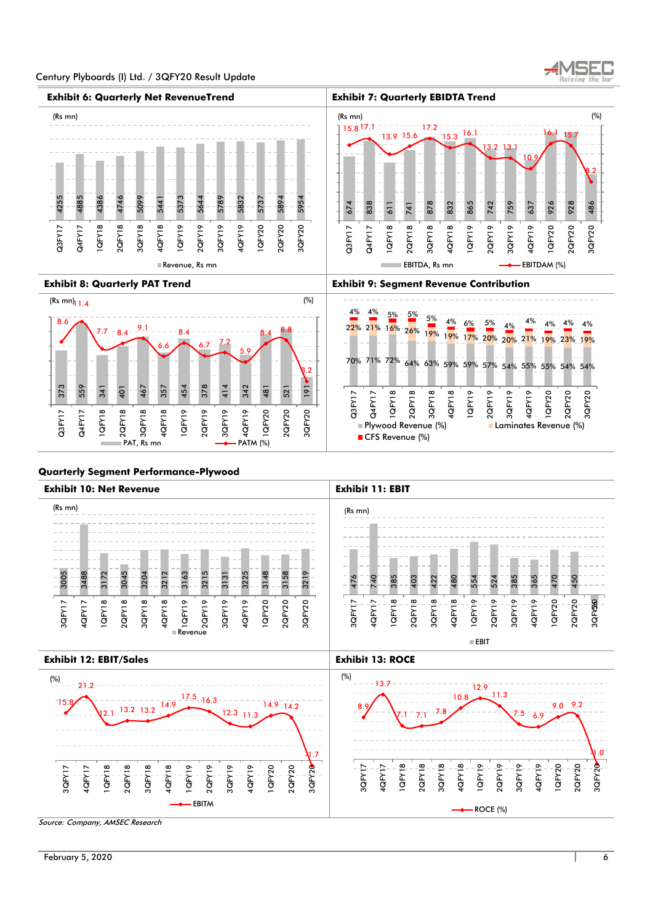





#### **Quarterly Segment Performance-Plywood**

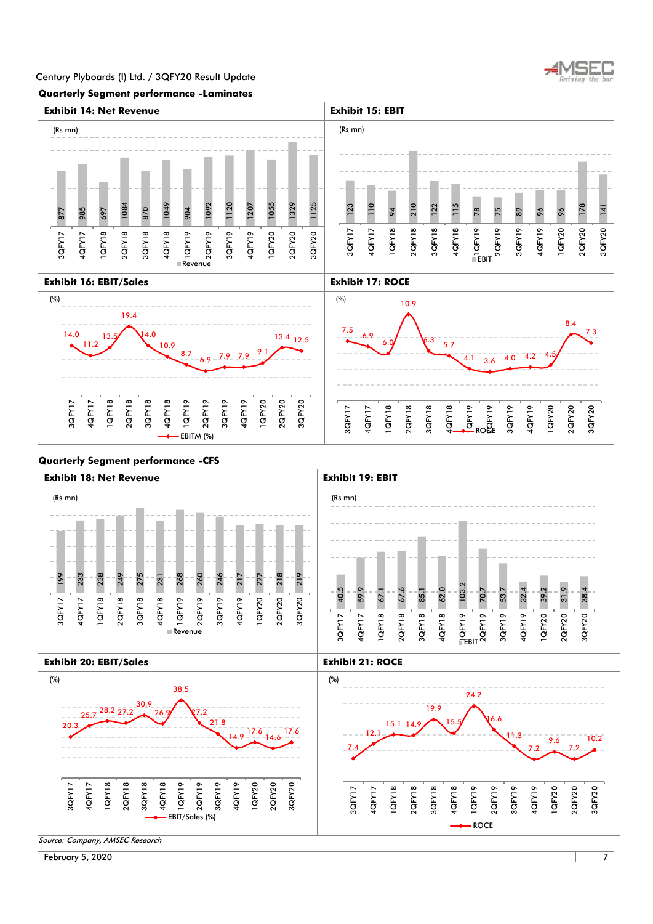





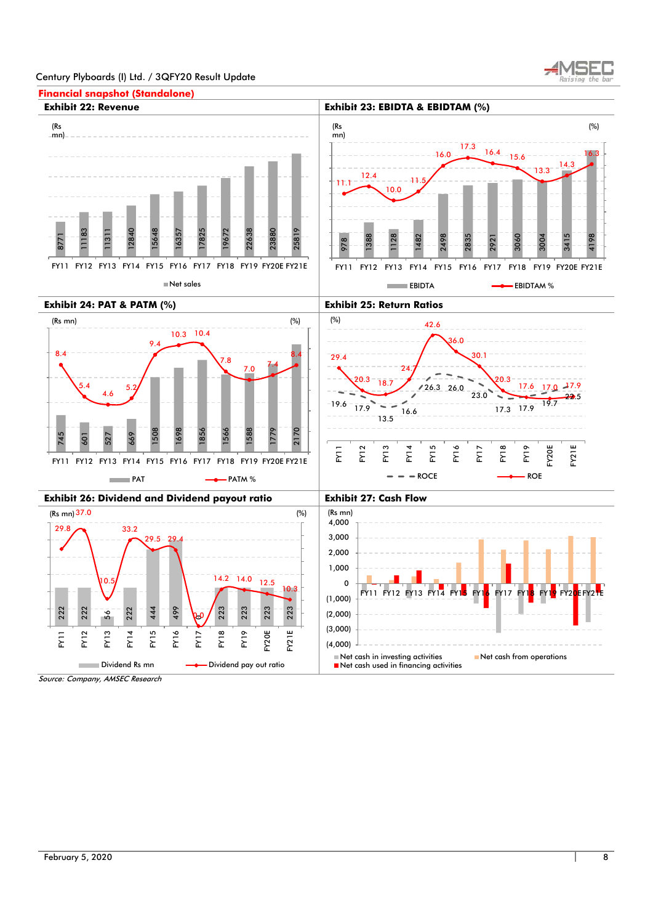

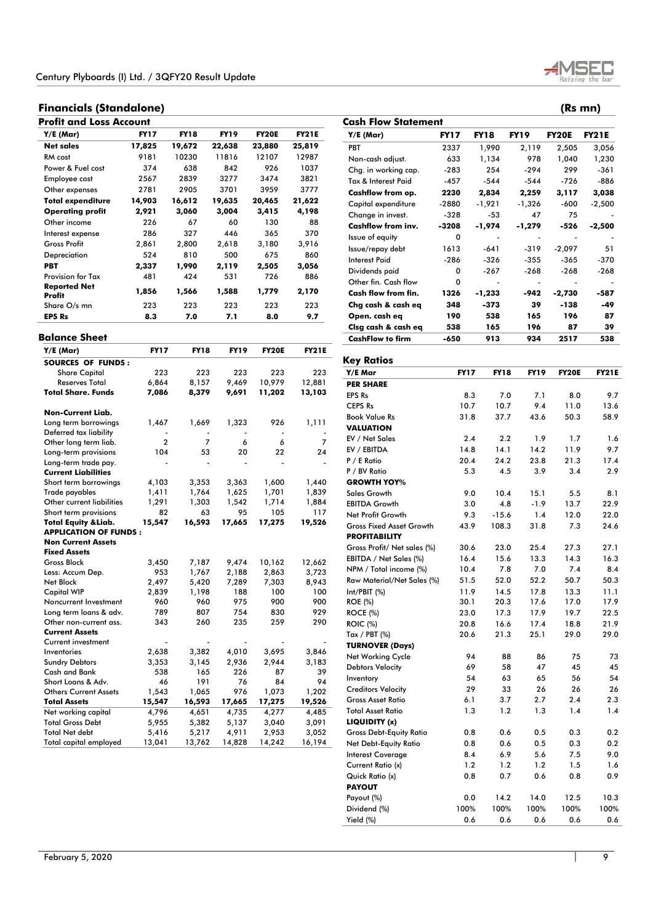# **Financials (Standalone) (Rs mn)**

| Profit and Loss Account       |             |             |             |              |              |  |  |  |  |  |
|-------------------------------|-------------|-------------|-------------|--------------|--------------|--|--|--|--|--|
| $Y/E$ (Mar)                   | <b>FY17</b> | <b>FY18</b> | <b>FY19</b> | <b>FY20E</b> | <b>FY21E</b> |  |  |  |  |  |
| <b>Net sales</b>              | 17,825      | 19,672      | 22,638      | 23,880       | 25,819       |  |  |  |  |  |
| RM cost                       | 9181        | 10230       | 11816       | 12107        | 12987        |  |  |  |  |  |
| Power & Fuel cost             | 374         | 638         | 842         | 926          | 1037         |  |  |  |  |  |
| Employee cost                 | 2567        | 2839        | 3277        | 3474         | 3821         |  |  |  |  |  |
| Other expenses                | 2781        | 2905        | 3701        | 3959         | 3777         |  |  |  |  |  |
| Total expenditure             | 14,903      | 16,612      | 19,635      | 20,465       | 21,622       |  |  |  |  |  |
| <b>Operating profit</b>       | 2,921       | 3,060       | 3,004       | 3,415        | 4,198        |  |  |  |  |  |
| Other income                  | 226         | 67          | 60          | 130          | 88           |  |  |  |  |  |
| Interest expense              | 286         | 327         | 446         | 365          | 370          |  |  |  |  |  |
| <b>Gross Profit</b>           | 2,861       | 2,800       | 2,618       | 3,180        | 3,916        |  |  |  |  |  |
| Depreciation                  | 524         | 810         | 500         | 675          | 860          |  |  |  |  |  |
| <b>PBT</b>                    | 2,337       | 1,990       | 2,119       | 2,505        | 3,056        |  |  |  |  |  |
| <b>Provision for Tax</b>      | 481         | 424         | 531         | 726          | 886          |  |  |  |  |  |
| <b>Reported Net</b><br>Profit | 1,856       | 1,566       | 1,588       | 1,779        | 2,170        |  |  |  |  |  |
| Share O/s mn                  | 223         | 223         | 223         | 223          | 223          |  |  |  |  |  |
| <b>EPS Rs</b>                 | 8.3         | 7.0         | 7.1         | 8.0          | 9.7          |  |  |  |  |  |

# **Balance Sheet**

| Y/E (Mar)                       | <b>FY17</b> | <b>FY18</b> | FY19   | <b>FY20E</b> | <b>FY21E</b> |
|---------------------------------|-------------|-------------|--------|--------------|--------------|
| <b>SOURCES OF FUNDS:</b>        |             |             |        |              |              |
| <b>Share Capital</b>            | 223         | 223         | 223    | 223          | 223          |
| <b>Reserves Total</b>           | 6,864       | 8,157       | 9,469  | 10,979       | 12,881       |
| Total Share. Funds              | 7,086       | 8,379       | 9,691  | 11,202       | 13,103       |
| <b>Non-Current Liab.</b>        |             |             |        |              |              |
| Long term borrowings            | 1,467       | 1,669       | 1,323  | 926          | 1,111        |
| Deferred tax liability          |             |             |        |              |              |
| Other long term liab.           | 2           | 7           | 6      | 6            | 7            |
| Long-term provisions            | 104         | 53          | 20     | 22           | 24           |
| Long-term trade pay.            |             |             |        |              |              |
| <b>Current Liabilities</b>      |             |             |        |              |              |
| Short term borrowings           | 4,103       | 3,353       | 3,363  | 1,600        | 1,440        |
| Trade payables                  | 1,411       | 1,764       | 1,625  | 1,701        | 1,839        |
| Other current liabilities       | 1,291       | 1,303       | 1,542  | 1,714        | 1,884        |
| Short term provisions           | 82          | 63          | 95     | 105          | 117          |
| <b>Total Equity &amp; Liab.</b> | 15,547      | 16,593      | 17,665 | 17,275       | 19,526       |
| <b>APPLICATION OF FUNDS:</b>    |             |             |        |              |              |
| <b>Non Current Assets</b>       |             |             |        |              |              |
| <b>Fixed Assets</b>             |             |             |        |              |              |
| <b>Gross Block</b>              | 3,450       | 7,187       | 9,474  | 10,162       | 12,662       |
| Less: Accum Dep.                | 953         | 1,767       | 2,188  | 2,863        | 3,723        |
| <b>Net Block</b>                | 2,497       | 5,420       | 7,289  | 7,303        | 8,943        |
| <b>Capital WIP</b>              | 2,839       | 1,198       | 188    | 100          | 100          |
| Noncurrent Investment           | 960         | 960         | 975    | 900          | 900          |
| Long term loans & adv.          | 789         | 807         | 754    | 830          | 929          |
| Other non-current ass.          | 343         | 260         | 235    | 259          | 290          |
| <b>Current Assets</b>           |             |             |        |              |              |
| Current investment              |             |             |        |              |              |
| Inventories                     | 2,638       | 3,382       | 4,010  | 3,695        | 3,846        |
| <b>Sundry Debtors</b>           | 3,353       | 3,145       | 2,936  | 2,944        | 3,183        |
| Cash and Bank                   | 538         | 165         | 226    | 87           | 39           |
| Short Loans & Adv.              | 46          | 191         | 76     | 84           | 94           |
| <b>Others Current Assets</b>    | 1,543       | 1,065       | 976    | 1,073        | 1,202        |
| <b>Total Assets</b>             | 15,547      | 16,593      | 17,665 | 17,275       | 19,526       |
| Net working capital             | 4,796       | 4,651       | 4,735  | 4,277        | 4,485        |
| <b>Total Gross Debt</b>         | 5,955       | 5,382       | 5,137  | 3,040        | 3,091        |
| <b>Total Net debt</b>           | 5,416       | 5,217       | 4,911  | 2,953        | 3,052        |
| Total capital employed          | 13,041      | 13,762      | 14,828 | 14,242       | 16,194       |



| FY 17  | <b>FY18</b>                                                       | <b>FY19</b>                                                                                                                                                                                                                                                        | <b>FY20E</b>                                                                                                                                                                                                                                        | <b>FY21E</b>                                                                                                                                                                                                                                                                                                                                                                                                                                                                                                  |
|--------|-------------------------------------------------------------------|--------------------------------------------------------------------------------------------------------------------------------------------------------------------------------------------------------------------------------------------------------------------|-----------------------------------------------------------------------------------------------------------------------------------------------------------------------------------------------------------------------------------------------------|---------------------------------------------------------------------------------------------------------------------------------------------------------------------------------------------------------------------------------------------------------------------------------------------------------------------------------------------------------------------------------------------------------------------------------------------------------------------------------------------------------------|
| 2337   | 1,990                                                             | 2,119                                                                                                                                                                                                                                                              | 2,505                                                                                                                                                                                                                                               | 3,056                                                                                                                                                                                                                                                                                                                                                                                                                                                                                                         |
| 633    | 1,134                                                             | 978                                                                                                                                                                                                                                                                | 1,040                                                                                                                                                                                                                                               | 1,230                                                                                                                                                                                                                                                                                                                                                                                                                                                                                                         |
| $-283$ | 254                                                               | $-294$                                                                                                                                                                                                                                                             | 299                                                                                                                                                                                                                                                 | -361                                                                                                                                                                                                                                                                                                                                                                                                                                                                                                          |
| $-457$ | $-544$                                                            | $-544$                                                                                                                                                                                                                                                             | -726                                                                                                                                                                                                                                                | -886                                                                                                                                                                                                                                                                                                                                                                                                                                                                                                          |
| 2230   | 2,834                                                             | 2,259                                                                                                                                                                                                                                                              | 3,117                                                                                                                                                                                                                                               | 3,038                                                                                                                                                                                                                                                                                                                                                                                                                                                                                                         |
| -2880  | -1,921                                                            | -1,326                                                                                                                                                                                                                                                             | -600                                                                                                                                                                                                                                                | $-2,500$                                                                                                                                                                                                                                                                                                                                                                                                                                                                                                      |
| -328   | -53                                                               | 47                                                                                                                                                                                                                                                                 | 75                                                                                                                                                                                                                                                  |                                                                                                                                                                                                                                                                                                                                                                                                                                                                                                               |
|        |                                                                   | -1,279                                                                                                                                                                                                                                                             | $-526$                                                                                                                                                                                                                                              | $-2,500$                                                                                                                                                                                                                                                                                                                                                                                                                                                                                                      |
| 0      |                                                                   |                                                                                                                                                                                                                                                                    |                                                                                                                                                                                                                                                     |                                                                                                                                                                                                                                                                                                                                                                                                                                                                                                               |
| 1613   | $-641$                                                            | -319                                                                                                                                                                                                                                                               | $-2,097$                                                                                                                                                                                                                                            | 51                                                                                                                                                                                                                                                                                                                                                                                                                                                                                                            |
| $-286$ | $-326$                                                            | -355                                                                                                                                                                                                                                                               | $-365$                                                                                                                                                                                                                                              | -370                                                                                                                                                                                                                                                                                                                                                                                                                                                                                                          |
| 0      | $-267$                                                            | $-268$                                                                                                                                                                                                                                                             | $-268$                                                                                                                                                                                                                                              | $-268$                                                                                                                                                                                                                                                                                                                                                                                                                                                                                                        |
| 0      |                                                                   |                                                                                                                                                                                                                                                                    |                                                                                                                                                                                                                                                     |                                                                                                                                                                                                                                                                                                                                                                                                                                                                                                               |
| 1326   |                                                                   | -942                                                                                                                                                                                                                                                               |                                                                                                                                                                                                                                                     | -587                                                                                                                                                                                                                                                                                                                                                                                                                                                                                                          |
| 348    | -373                                                              | 39                                                                                                                                                                                                                                                                 | -138                                                                                                                                                                                                                                                | -49                                                                                                                                                                                                                                                                                                                                                                                                                                                                                                           |
| 190    | 538                                                               | 165                                                                                                                                                                                                                                                                | 196                                                                                                                                                                                                                                                 | 87                                                                                                                                                                                                                                                                                                                                                                                                                                                                                                            |
| 538    | 165                                                               | 196                                                                                                                                                                                                                                                                | 87                                                                                                                                                                                                                                                  | 39                                                                                                                                                                                                                                                                                                                                                                                                                                                                                                            |
| $-650$ | 913                                                               | 934                                                                                                                                                                                                                                                                | 2517                                                                                                                                                                                                                                                | 538                                                                                                                                                                                                                                                                                                                                                                                                                                                                                                           |
|        |                                                                   |                                                                                                                                                                                                                                                                    |                                                                                                                                                                                                                                                     |                                                                                                                                                                                                                                                                                                                                                                                                                                                                                                               |
|        |                                                                   |                                                                                                                                                                                                                                                                    |                                                                                                                                                                                                                                                     | <b>FY21E</b>                                                                                                                                                                                                                                                                                                                                                                                                                                                                                                  |
|        |                                                                   |                                                                                                                                                                                                                                                                    |                                                                                                                                                                                                                                                     |                                                                                                                                                                                                                                                                                                                                                                                                                                                                                                               |
|        |                                                                   |                                                                                                                                                                                                                                                                    |                                                                                                                                                                                                                                                     | 9.7                                                                                                                                                                                                                                                                                                                                                                                                                                                                                                           |
|        |                                                                   |                                                                                                                                                                                                                                                                    |                                                                                                                                                                                                                                                     | 13.6                                                                                                                                                                                                                                                                                                                                                                                                                                                                                                          |
|        |                                                                   |                                                                                                                                                                                                                                                                    |                                                                                                                                                                                                                                                     | 58.9                                                                                                                                                                                                                                                                                                                                                                                                                                                                                                          |
|        |                                                                   |                                                                                                                                                                                                                                                                    |                                                                                                                                                                                                                                                     |                                                                                                                                                                                                                                                                                                                                                                                                                                                                                                               |
|        |                                                                   |                                                                                                                                                                                                                                                                    |                                                                                                                                                                                                                                                     | 1.6                                                                                                                                                                                                                                                                                                                                                                                                                                                                                                           |
|        |                                                                   |                                                                                                                                                                                                                                                                    |                                                                                                                                                                                                                                                     | 9.7                                                                                                                                                                                                                                                                                                                                                                                                                                                                                                           |
|        |                                                                   |                                                                                                                                                                                                                                                                    |                                                                                                                                                                                                                                                     | 17.4                                                                                                                                                                                                                                                                                                                                                                                                                                                                                                          |
|        |                                                                   |                                                                                                                                                                                                                                                                    |                                                                                                                                                                                                                                                     | 2.9                                                                                                                                                                                                                                                                                                                                                                                                                                                                                                           |
|        |                                                                   |                                                                                                                                                                                                                                                                    |                                                                                                                                                                                                                                                     |                                                                                                                                                                                                                                                                                                                                                                                                                                                                                                               |
|        |                                                                   |                                                                                                                                                                                                                                                                    |                                                                                                                                                                                                                                                     | 8.1                                                                                                                                                                                                                                                                                                                                                                                                                                                                                                           |
|        |                                                                   |                                                                                                                                                                                                                                                                    |                                                                                                                                                                                                                                                     | 22.9                                                                                                                                                                                                                                                                                                                                                                                                                                                                                                          |
|        |                                                                   |                                                                                                                                                                                                                                                                    |                                                                                                                                                                                                                                                     | 22.0                                                                                                                                                                                                                                                                                                                                                                                                                                                                                                          |
|        |                                                                   |                                                                                                                                                                                                                                                                    |                                                                                                                                                                                                                                                     | 24.6                                                                                                                                                                                                                                                                                                                                                                                                                                                                                                          |
|        |                                                                   |                                                                                                                                                                                                                                                                    |                                                                                                                                                                                                                                                     |                                                                                                                                                                                                                                                                                                                                                                                                                                                                                                               |
|        |                                                                   |                                                                                                                                                                                                                                                                    |                                                                                                                                                                                                                                                     | 27.1                                                                                                                                                                                                                                                                                                                                                                                                                                                                                                          |
|        |                                                                   |                                                                                                                                                                                                                                                                    |                                                                                                                                                                                                                                                     | 16.3                                                                                                                                                                                                                                                                                                                                                                                                                                                                                                          |
|        |                                                                   |                                                                                                                                                                                                                                                                    |                                                                                                                                                                                                                                                     | 8.4<br>50.3                                                                                                                                                                                                                                                                                                                                                                                                                                                                                                   |
|        |                                                                   |                                                                                                                                                                                                                                                                    |                                                                                                                                                                                                                                                     |                                                                                                                                                                                                                                                                                                                                                                                                                                                                                                               |
|        |                                                                   |                                                                                                                                                                                                                                                                    |                                                                                                                                                                                                                                                     | 11.1<br>17.9                                                                                                                                                                                                                                                                                                                                                                                                                                                                                                  |
|        |                                                                   |                                                                                                                                                                                                                                                                    |                                                                                                                                                                                                                                                     | 22.5                                                                                                                                                                                                                                                                                                                                                                                                                                                                                                          |
|        |                                                                   |                                                                                                                                                                                                                                                                    |                                                                                                                                                                                                                                                     | 21.9                                                                                                                                                                                                                                                                                                                                                                                                                                                                                                          |
|        |                                                                   |                                                                                                                                                                                                                                                                    |                                                                                                                                                                                                                                                     | 29.0                                                                                                                                                                                                                                                                                                                                                                                                                                                                                                          |
|        |                                                                   |                                                                                                                                                                                                                                                                    |                                                                                                                                                                                                                                                     |                                                                                                                                                                                                                                                                                                                                                                                                                                                                                                               |
|        |                                                                   |                                                                                                                                                                                                                                                                    |                                                                                                                                                                                                                                                     | 73                                                                                                                                                                                                                                                                                                                                                                                                                                                                                                            |
|        |                                                                   |                                                                                                                                                                                                                                                                    |                                                                                                                                                                                                                                                     | 45                                                                                                                                                                                                                                                                                                                                                                                                                                                                                                            |
|        |                                                                   |                                                                                                                                                                                                                                                                    |                                                                                                                                                                                                                                                     | 54                                                                                                                                                                                                                                                                                                                                                                                                                                                                                                            |
|        |                                                                   |                                                                                                                                                                                                                                                                    |                                                                                                                                                                                                                                                     | 26                                                                                                                                                                                                                                                                                                                                                                                                                                                                                                            |
|        |                                                                   |                                                                                                                                                                                                                                                                    |                                                                                                                                                                                                                                                     | 2.3                                                                                                                                                                                                                                                                                                                                                                                                                                                                                                           |
|        |                                                                   |                                                                                                                                                                                                                                                                    |                                                                                                                                                                                                                                                     | 1.4                                                                                                                                                                                                                                                                                                                                                                                                                                                                                                           |
|        |                                                                   |                                                                                                                                                                                                                                                                    |                                                                                                                                                                                                                                                     |                                                                                                                                                                                                                                                                                                                                                                                                                                                                                                               |
|        |                                                                   |                                                                                                                                                                                                                                                                    |                                                                                                                                                                                                                                                     | 0.2                                                                                                                                                                                                                                                                                                                                                                                                                                                                                                           |
|        |                                                                   |                                                                                                                                                                                                                                                                    |                                                                                                                                                                                                                                                     | 0.2                                                                                                                                                                                                                                                                                                                                                                                                                                                                                                           |
|        |                                                                   |                                                                                                                                                                                                                                                                    |                                                                                                                                                                                                                                                     | 9.0                                                                                                                                                                                                                                                                                                                                                                                                                                                                                                           |
|        |                                                                   |                                                                                                                                                                                                                                                                    |                                                                                                                                                                                                                                                     | 1.6                                                                                                                                                                                                                                                                                                                                                                                                                                                                                                           |
|        |                                                                   |                                                                                                                                                                                                                                                                    |                                                                                                                                                                                                                                                     | 0.9                                                                                                                                                                                                                                                                                                                                                                                                                                                                                                           |
|        |                                                                   |                                                                                                                                                                                                                                                                    |                                                                                                                                                                                                                                                     |                                                                                                                                                                                                                                                                                                                                                                                                                                                                                                               |
|        | <b>Cash Flow Statement</b><br>-3208<br>Raw Material/Net Sales (%) | -1,974<br>-1,233<br><b>FY17</b><br>8.3<br>10.7<br>31.8<br>2.4<br>14.8<br>20.4<br>5.3<br>9.0<br>3.0<br>9.3<br>43.9<br>30.6<br>16.4<br>10.4<br>51.5<br>11.9<br>30.1<br>23.0<br>20.8<br>20.6<br>94<br>69<br>54<br>29<br>6.1<br>1.3<br>0.8<br>0.8<br>8.4<br>1.2<br>0.8 | <b>FY18</b><br>7.0<br>10.7<br>37.7<br>2.2<br>14.1<br>24.2<br>4.5<br>10.4<br>4.8<br>$-15.6$<br>108.3<br>23.0<br>15.6<br>7.8<br>52.0<br>14.5<br>20.3<br>17.3<br>16.6<br>21.3<br>88<br>58<br>63<br>33<br>3.7<br>1.2<br>0.6<br>0.6<br>6.9<br>1.2<br>0.7 | -2,730<br><b>FY19</b><br><b>FY20E</b><br>7.1<br>8.0<br>9.4<br>11.0<br>43.6<br>50.3<br>1.9<br>1.7<br>14.2<br>11.9<br>23.8<br>21.3<br>3.9<br>3.4<br>15.1<br>5.5<br>$-1.9$<br>13.7<br>1.4<br>12.0<br>31.8<br>7.3<br>25.4<br>27.3<br>13.3<br>14.3<br>7.0<br>7.4<br>52.2<br>50.7<br>17.8<br>13.3<br>17.6<br>17.0<br>17.9<br>19.7<br>17.4<br>18.8<br>25.1<br>29.0<br>86<br>75<br>47<br>45<br>65<br>56<br>26<br>26<br>2.7<br>2.4<br>1.3<br>1.4<br>0.5<br>0.3<br>0.5<br>0.3<br>5.6<br>7.5<br>1.2<br>1.5<br>0.6<br>0.8 |

Payout (%) <br>
Dividend (%) 100% 100% 100% 100% 100% 100% 100%

Yield (%) 0.6 0.6 0.6 0.6 0.6

 $Dividend (%)$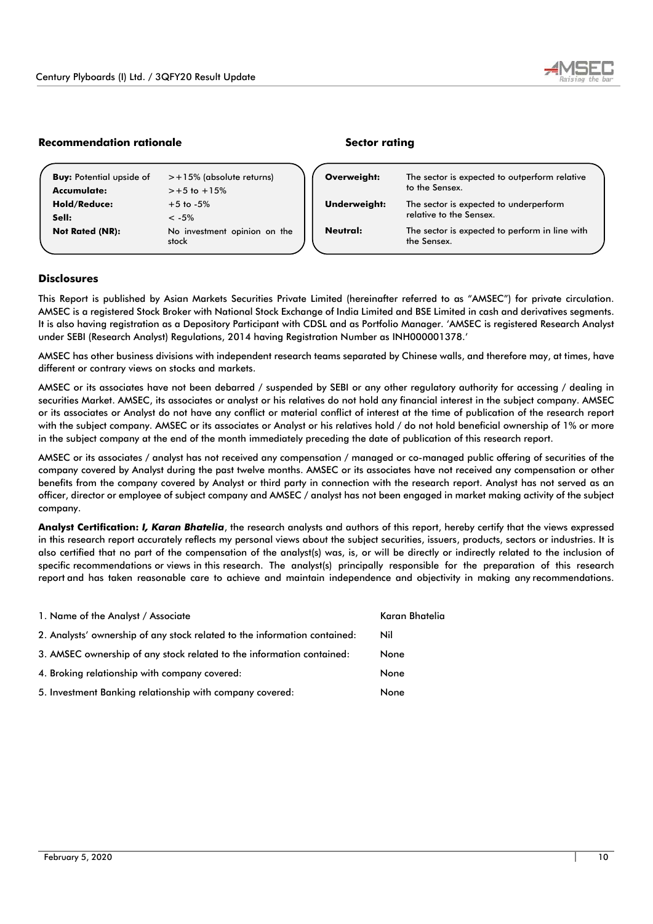

# **Recommendation rationale Sector rating**

| <b>Buy:</b> Potential upside of<br>Accumulate: | $> +15\%$ (absolute returns)<br>$> +5$ to $+15%$ | Overweight:         | The sector is expected to outperform relative<br>to the Sensex.   |  |
|------------------------------------------------|--------------------------------------------------|---------------------|-------------------------------------------------------------------|--|
| <b>Hold/Reduce:</b><br>Sell:                   | $+5$ to $-5\%$<br>$< -5\%$                       | <b>Underweight:</b> | The sector is expected to underperform<br>relative to the Sensex. |  |
| <b>Not Rated (NR):</b>                         | No investment opinion on the<br>stock            | Neutral:            | The sector is expected to perform in line with<br>the Sensex.     |  |

## **Disclosures**

This Report is published by Asian Markets Securities Private Limited (hereinafter referred to as "AMSEC") for private circulation. AMSEC is a registered Stock Broker with National Stock Exchange of India Limited and BSE Limited in cash and derivatives segments. It is also having registration as a Depository Participant with CDSL and as Portfolio Manager. 'AMSEC is registered Research Analyst under SEBI (Research Analyst) Regulations, 2014 having Registration Number as INH000001378.'

AMSEC has other business divisions with independent research teams separated by Chinese walls, and therefore may, at times, have different or contrary views on stocks and markets.

AMSEC or its associates have not been debarred / suspended by SEBI or any other regulatory authority for accessing / dealing in securities Market. AMSEC, its associates or analyst or his relatives do not hold any financial interest in the subject company. AMSEC or its associates or Analyst do not have any conflict or material conflict of interest at the time of publication of the research report with the subject company. AMSEC or its associates or Analyst or his relatives hold / do not hold beneficial ownership of 1% or more in the subject company at the end of the month immediately preceding the date of publication of this research report.

AMSEC or its associates / analyst has not received any compensation / managed or co-managed public offering of securities of the company covered by Analyst during the past twelve months. AMSEC or its associates have not received any compensation or other benefits from the company covered by Analyst or third party in connection with the research report. Analyst has not served as an officer, director or employee of subject company and AMSEC / analyst has not been engaged in market making activity of the subject company.

**Analyst Certification:** *I, Karan Bhatelia*, the research analysts and authors of this report, hereby certify that the views expressed in this research report accurately reflects my personal views about the subject securities, issuers, products, sectors or industries. It is also certified that no part of the compensation of the analyst(s) was, is, or will be directly or indirectly related to the inclusion of specific recommendations or views in this research. The analyst(s) principally responsible for the preparation of this research report and has taken reasonable care to achieve and maintain independence and objectivity in making any recommendations.

| 1. Name of the Analyst / Associate                                        | Karan Bhatelia |
|---------------------------------------------------------------------------|----------------|
| 2. Analysts' ownership of any stock related to the information contained: | Nil            |
| 3. AMSEC ownership of any stock related to the information contained:     | None           |
| 4. Broking relationship with company covered:                             | None           |
| 5. Investment Banking relationship with company covered:                  | None           |